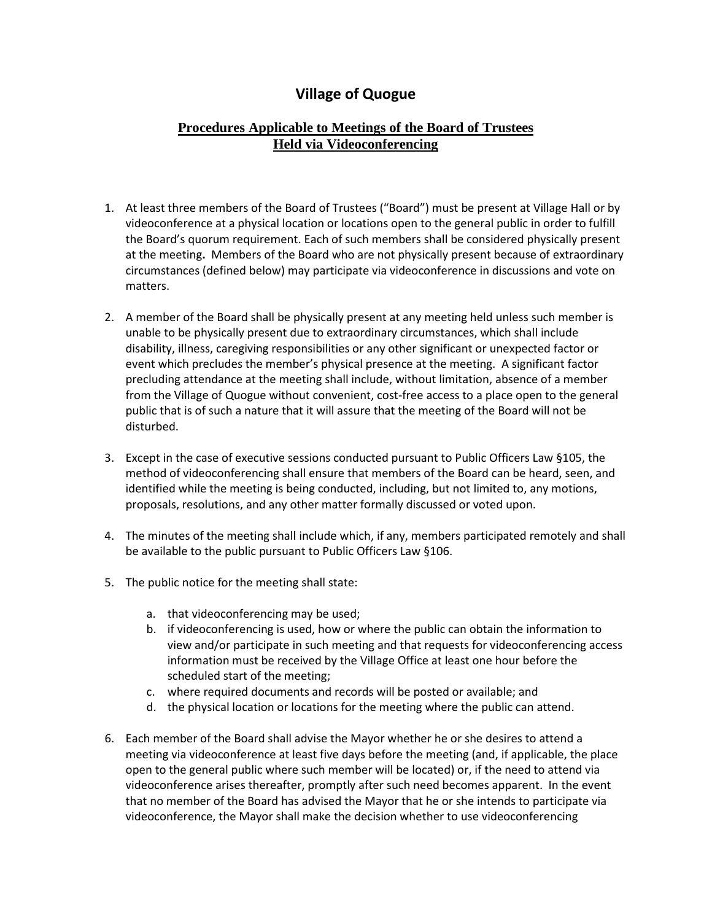## **Village of Quogue**

## **Procedures Applicable to Meetings of the Board of Trustees Held via Videoconferencing**

- 1. At least three members of the Board of Trustees ("Board") must be present at Village Hall or by videoconference at a physical location or locations open to the general public in order to fulfill the Board's quorum requirement. Each of such members shall be considered physically present at the meeting**.** Members of the Board who are not physically present because of extraordinary circumstances (defined below) may participate via videoconference in discussions and vote on matters.
- 2. A member of the Board shall be physically present at any meeting held unless such member is unable to be physically present due to extraordinary circumstances, which shall include disability, illness, caregiving responsibilities or any other significant or unexpected factor or event which precludes the member's physical presence at the meeting. A significant factor precluding attendance at the meeting shall include, without limitation, absence of a member from the Village of Quogue without convenient, cost-free access to a place open to the general public that is of such a nature that it will assure that the meeting of the Board will not be disturbed.
- 3. Except in the case of executive sessions conducted pursuant to Public Officers Law §105, the method of videoconferencing shall ensure that members of the Board can be heard, seen, and identified while the meeting is being conducted, including, but not limited to, any motions, proposals, resolutions, and any other matter formally discussed or voted upon.
- 4. The minutes of the meeting shall include which, if any, members participated remotely and shall be available to the public pursuant to Public Officers Law §106.
- 5. The public notice for the meeting shall state:
	- a. that videoconferencing may be used;
	- b. if videoconferencing is used, how or where the public can obtain the information to view and/or participate in such meeting and that requests for videoconferencing access information must be received by the Village Office at least one hour before the scheduled start of the meeting;
	- c. where required documents and records will be posted or available; and
	- d. the physical location or locations for the meeting where the public can attend.
- 6. Each member of the Board shall advise the Mayor whether he or she desires to attend a meeting via videoconference at least five days before the meeting (and, if applicable, the place open to the general public where such member will be located) or, if the need to attend via videoconference arises thereafter, promptly after such need becomes apparent. In the event that no member of the Board has advised the Mayor that he or she intends to participate via videoconference, the Mayor shall make the decision whether to use videoconferencing